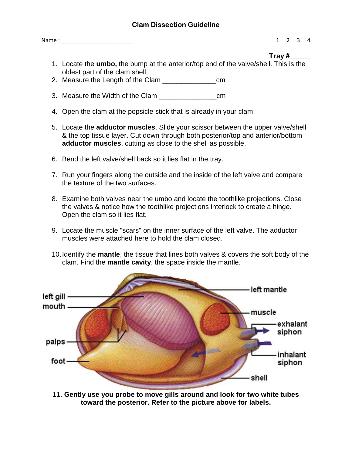## **Clam Dissection Guideline**

Name :\_\_\_\_\_\_\_\_\_\_\_\_\_\_\_\_\_\_\_\_\_\_\_ 1 2 3 4

- **Tray #\_\_\_\_\_\_**
- 1. Locate the **umbo,** the bump at the anterior/top end of the valve/shell. This is the oldest part of the clam shell.
- 2. Measure the Length of the Clam
- 3. Measure the Width of the Clam \_\_\_\_\_\_\_\_\_\_\_\_\_\_\_cm
- 4. Open the clam at the popsicle stick that is already in your clam
- 5. Locate the **adductor muscles**. Slide your scissor between the upper valve/shell & the top tissue layer. Cut down through both posterior/top and anterior/bottom **adductor muscles**, cutting as close to the shell as possible.
- 6. Bend the left valve/shell back so it lies flat in the tray.
- 7. Run your fingers along the outside and the inside of the left valve and compare the texture of the two surfaces.
- 8. Examine both valves near the umbo and locate the toothlike projections. Close the valves & notice how the toothlike projections interlock to create a hinge. Open the clam so it lies flat.
- 9. Locate the muscle "scars" on the inner surface of the left valve. The adductor muscles were attached here to hold the clam closed.
- 10.Identify the **mantle**, the tissue that lines both valves & covers the soft body of the clam. Find the **mantle cavity**, the space inside the mantle.



11. **Gently use you probe to move gills around and look for two white tubes toward the posterior. Refer to the picture above for labels.**